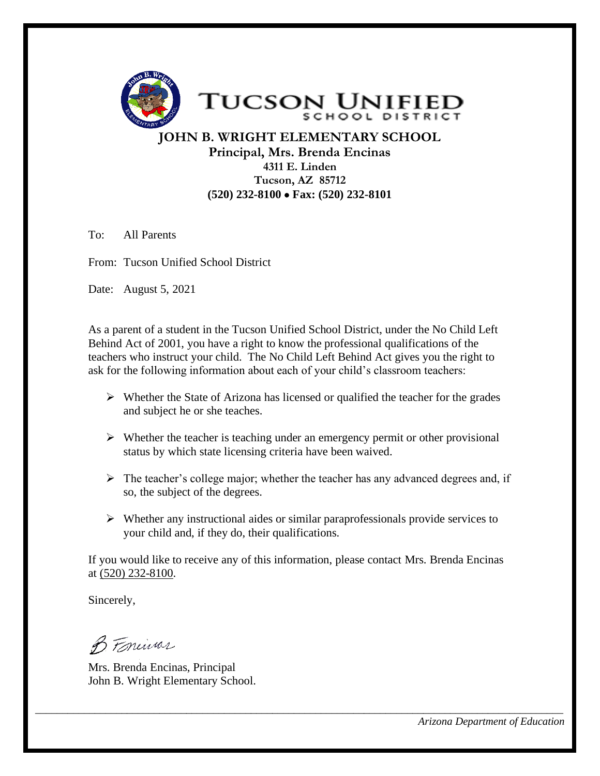

**JOHN B. WRIGHT ELEMENTARY SCHOOL Principal, Mrs. Brenda Encinas 4311 E. Linden Tucson, AZ 85712 (520) 232-8100** • **Fax: (520) 232-8101** 

To: All Parents

From: Tucson Unified School District

Date: August 5, 2021

As a parent of a student in the Tucson Unified School District, under the No Child Left Behind Act of 2001, you have a right to know the professional qualifications of the teachers who instruct your child. The No Child Left Behind Act gives you the right to ask for the following information about each of your child's classroom teachers:

- $\triangleright$  Whether the State of Arizona has licensed or qualified the teacher for the grades and subject he or she teaches.
- $\triangleright$  Whether the teacher is teaching under an emergency permit or other provisional status by which state licensing criteria have been waived.
- ➢ The teacher's college major; whether the teacher has any advanced degrees and, if so, the subject of the degrees.
- ➢ Whether any instructional aides or similar paraprofessionals provide services to your child and, if they do, their qualifications.

If you would like to receive any of this information, please contact Mrs. Brenda Encinas at (520) 232-8100.

*\_\_\_\_\_\_\_\_\_\_\_\_\_\_\_\_\_\_\_\_\_\_\_\_\_\_\_\_\_\_\_\_\_\_\_\_\_\_\_\_\_\_\_\_\_\_\_\_\_\_\_\_\_\_\_\_\_\_\_\_\_\_\_\_\_\_\_\_\_\_\_\_\_\_\_\_\_\_\_\_\_\_\_\_\_\_\_\_\_\_\_\_\_\_\_\_\_\_*

Sincerely,

B. Foreinar

Mrs. Brenda Encinas, Principal John B. Wright Elementary School.

*Arizona Department of Education*